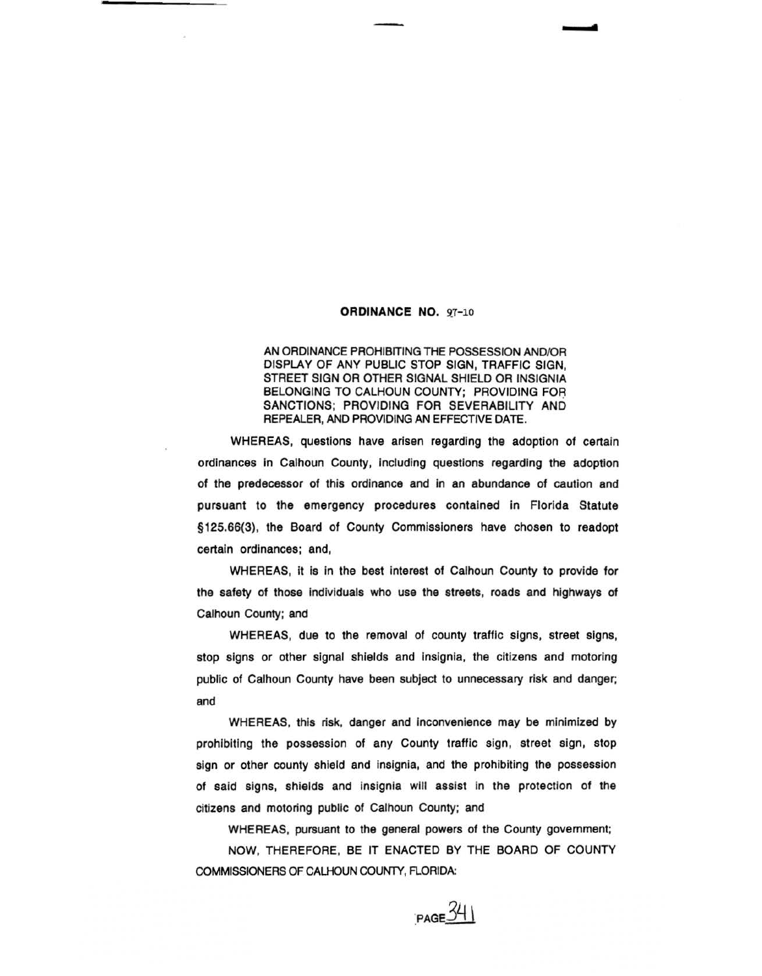## **ORDINANCE NO. 97-10**

AN ORDINANCE PROHIBITING THE POSSESSION AND/OR DISPLAY OF ANY PUBLIC STOP SIGN, TRAFFIC SIGN, STREET SIGN OR OTHER SIGNAL SHIELD OR INSIGNIA BELONGING TO CALHOUN COUNTY; PROVIDING FOA SANCTIONS; PROVIDING FOR SEVERABILITY AND REPEALER, AND PROVIDING AN EFFECTIVE DATE.

WHEREAS, questions have arisen regarding the adoption of certain ordinances in Calhoun County, including questions regarding the adoption of the predecessor of this ordinance and In an abundance of caution and pursuant to the emergency procedures contained in Florida Statute § 125.66(3}, the Board of County Commissioners have chosen to readopt certain ordinances; and,

WHEREAS, it is in the best interest of Calhoun County to provide for the safety of those individuals who use the streets, roads and highways of Calhoun County; and

WHEREAS, due to the removal of county traffic signs, street signs, stop signs or other signal shields and Insignia, the citizens and motoring public of Calhoun County have been subject to unnecessary risk and danger; and

WHEREAS, this risk, danger and Inconvenience may be minimized by prohibiting the possession of any County traffic sign, street sign, stop sign or other county shield and insignia, and the prohibiting the possession of said signs, shields and insignia will assist in the protection of the citizens and motoring public of Calhoun County; and

WHEREAS, pursuant to the general powers of the County govemment;

NOW, THEREFORE, BE IT ENACTED BY THE BOARD OF COUNTY COMMISSIONERS OF CALHOUN COUNTY, FLORIDA:

 $PAGE$ <sup>34</sup>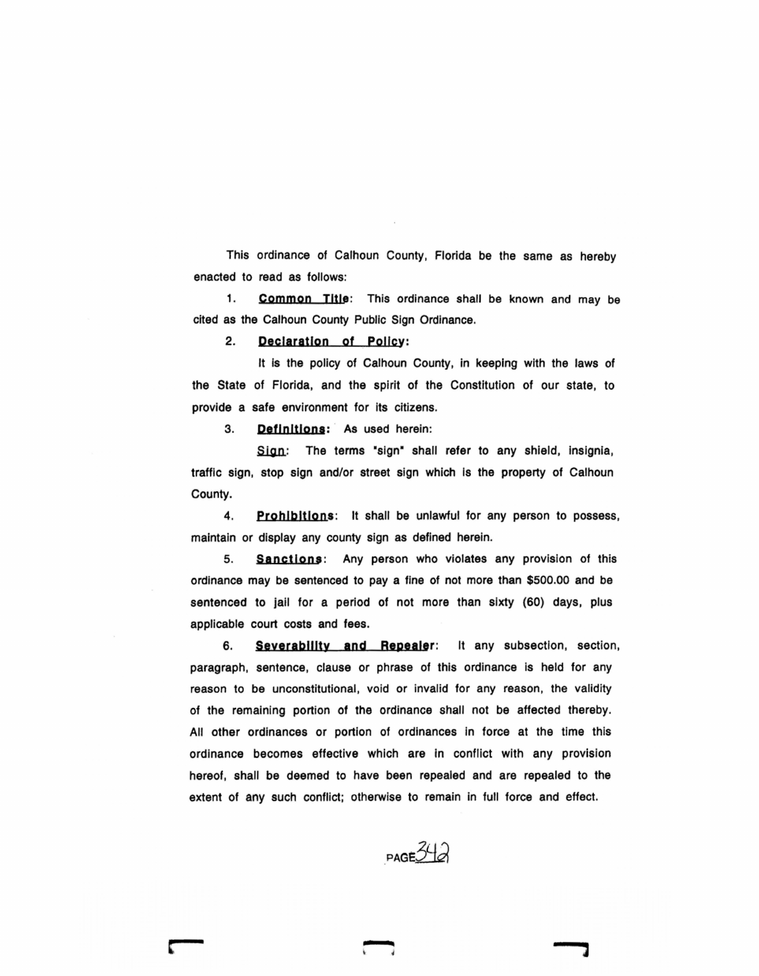This ordinance of Calhoun County, Florida be the same as hereby enacted to read as follows:

1. Common Title: This ordinance shall be known and may be cited as the Calhoun County Public Sign Ordinance.

2. paclaratlon of Polley:

It is the policy of Calhoun County, in keeping with the laws of the State of Florida, and the spirit of the Constitution of our state, to provide a safe environment for its citizens.

3. Definitions: As used herein:

Sign: The terms "sign" shall refer to any shield, insignia, traffic sign, stop sign and/or street sign which is the property of Calhoun County.

4. **Prohibitions:** It shall be unlawful for any person to possess, maintain or display any county sign as defined herein.

5. Sanctions: Any person who violates any provision of this ordinance may be sentenced to pay a fine of not more than \$500.00 and be sentenced to jail for a period of not more than sixty (60) days, plus applicable court costs and fees.

6. severability and Repealer: It any subsection, section, paragraph, sentence, clause or phrase of this ordinance is held for any reason to be unconstitutional, void or invalid for any reason, the validity of the remaining, portion of the ordinance shall not be affected thereby. All other ordinances or portion of ordinances in force at the time this ordinance becomes effective which are in conflict with any provision hereof, shall be deemed to have been repealed and are repealed to the extent of any such conflict; otherwise to remain in full force and effect.

 $P_{\text{AGE}}$ 342